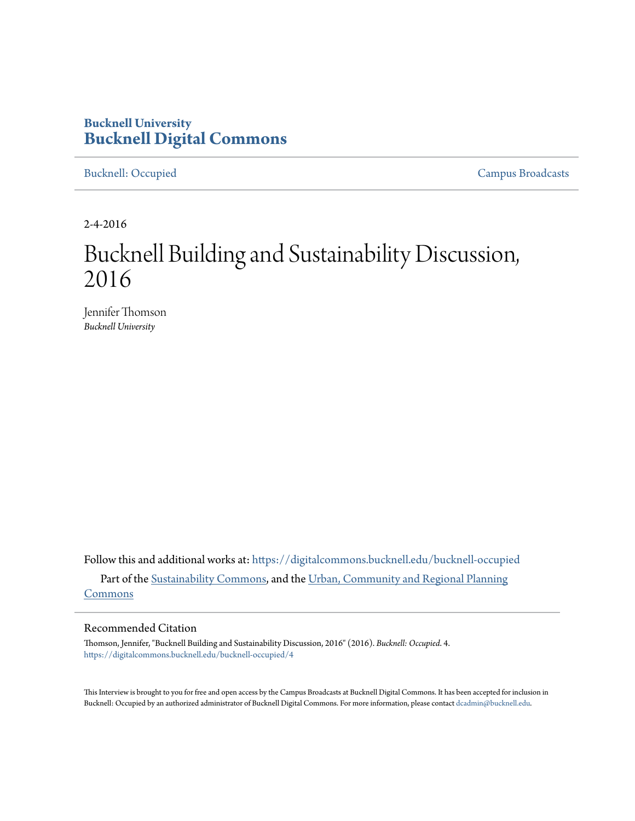# **Bucknell University [Bucknell Digital Commons](https://digitalcommons.bucknell.edu?utm_source=digitalcommons.bucknell.edu%2Fbucknell-occupied%2F4&utm_medium=PDF&utm_campaign=PDFCoverPages)**

[Bucknell: Occupied](https://digitalcommons.bucknell.edu/bucknell-occupied?utm_source=digitalcommons.bucknell.edu%2Fbucknell-occupied%2F4&utm_medium=PDF&utm_campaign=PDFCoverPages) [Campus Broadcasts](https://digitalcommons.bucknell.edu/campus-broadcasts?utm_source=digitalcommons.bucknell.edu%2Fbucknell-occupied%2F4&utm_medium=PDF&utm_campaign=PDFCoverPages)

2-4-2016

# Bucknell Building and Sustainability Discussion, 2016

Jennifer Thomson *Bucknell University*

Follow this and additional works at: [https://digitalcommons.bucknell.edu/bucknell-occupied](https://digitalcommons.bucknell.edu/bucknell-occupied?utm_source=digitalcommons.bucknell.edu%2Fbucknell-occupied%2F4&utm_medium=PDF&utm_campaign=PDFCoverPages) Part of the [Sustainability Commons,](http://network.bepress.com/hgg/discipline/1031?utm_source=digitalcommons.bucknell.edu%2Fbucknell-occupied%2F4&utm_medium=PDF&utm_campaign=PDFCoverPages) and the [Urban, Community and Regional Planning](http://network.bepress.com/hgg/discipline/776?utm_source=digitalcommons.bucknell.edu%2Fbucknell-occupied%2F4&utm_medium=PDF&utm_campaign=PDFCoverPages) [Commons](http://network.bepress.com/hgg/discipline/776?utm_source=digitalcommons.bucknell.edu%2Fbucknell-occupied%2F4&utm_medium=PDF&utm_campaign=PDFCoverPages)

#### Recommended Citation

Thomson, Jennifer, "Bucknell Building and Sustainability Discussion, 2016" (2016). *Bucknell: Occupied*. 4. [https://digitalcommons.bucknell.edu/bucknell-occupied/4](https://digitalcommons.bucknell.edu/bucknell-occupied/4?utm_source=digitalcommons.bucknell.edu%2Fbucknell-occupied%2F4&utm_medium=PDF&utm_campaign=PDFCoverPages)

This Interview is brought to you for free and open access by the Campus Broadcasts at Bucknell Digital Commons. It has been accepted for inclusion in Bucknell: Occupied by an authorized administrator of Bucknell Digital Commons. For more information, please contact [dcadmin@bucknell.edu](mailto:dcadmin@bucknell.edu).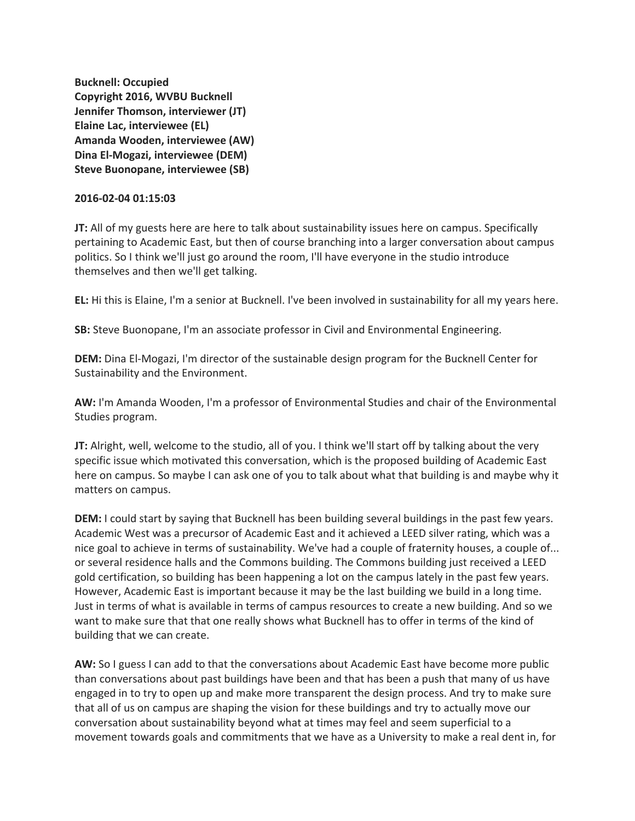**Bucknell: Occupied Copyright 2016, WVBU Bucknell Jennifer Thomson, interviewer (JT) Elaine Lac, interviewee (EL) Amanda Wooden, interviewee (AW) Dina El-Mogazi, interviewee (DEM) Steve Buonopane, interviewee (SB)**

#### **2016-02-04 01:15:03**

**JT:** All of my guests here are here to talk about sustainability issues here on campus. Specifically pertaining to Academic East, but then of course branching into a larger conversation about campus politics. So I think we'll just go around the room, I'll have everyone in the studio introduce themselves and then we'll get talking.

**EL:** Hi this is Elaine, I'm a senior at Bucknell. I've been involved in sustainability for all my years here.

**SB:** Steve Buonopane, I'm an associate professor in Civil and Environmental Engineering.

**DEM:** Dina El-Mogazi, I'm director of the sustainable design program for the Bucknell Center for Sustainability and the Environment.

**AW:** I'm Amanda Wooden, I'm a professor of Environmental Studies and chair of the Environmental Studies program.

**JT:** Alright, well, welcome to the studio, all of you. I think we'll start off by talking about the very specific issue which motivated this conversation, which is the proposed building of Academic East here on campus. So maybe I can ask one of you to talk about what that building is and maybe why it matters on campus.

**DEM:** I could start by saying that Bucknell has been building several buildings in the past few years. Academic West was a precursor of Academic East and it achieved a LEED silver rating, which was a nice goal to achieve in terms of sustainability. We've had a couple of fraternity houses, a couple of... or several residence halls and the Commons building. The Commons building just received a LEED gold certification, so building has been happening a lot on the campus lately in the past few years. However, Academic East is important because it may be the last building we build in a long time. Just in terms of what is available in terms of campus resources to create a new building. And so we want to make sure that that one really shows what Bucknell has to offer in terms of the kind of building that we can create.

**AW:** So I guess I can add to that the conversations about Academic East have become more public than conversations about past buildings have been and that has been a push that many of us have engaged in to try to open up and make more transparent the design process. And try to make sure that all of us on campus are shaping the vision for these buildings and try to actually move our conversation about sustainability beyond what at times may feel and seem superficial to a movement towards goals and commitments that we have as a University to make a real dent in, for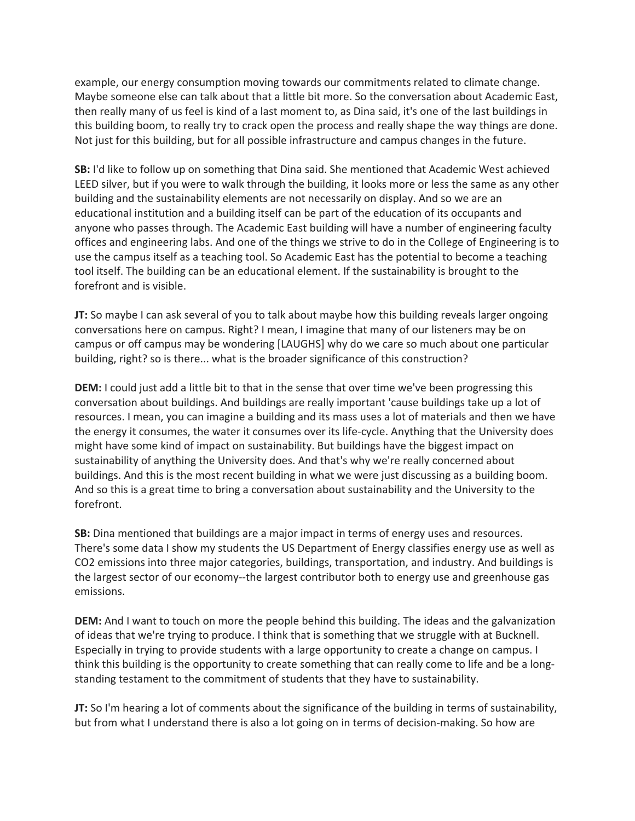example, our energy consumption moving towards our commitments related to climate change. Maybe someone else can talk about that a little bit more. So the conversation about Academic East, then really many of us feel is kind of a last moment to, as Dina said, it's one of the last buildings in this building boom, to really try to crack open the process and really shape the way things are done. Not just for this building, but for all possible infrastructure and campus changes in the future.

**SB:** I'd like to follow up on something that Dina said. She mentioned that Academic West achieved LEED silver, but if you were to walk through the building, it looks more or less the same as any other building and the sustainability elements are not necessarily on display. And so we are an educational institution and a building itself can be part of the education of its occupants and anyone who passes through. The Academic East building will have a number of engineering faculty offices and engineering labs. And one of the things we strive to do in the College of Engineering is to use the campus itself as a teaching tool. So Academic East has the potential to become a teaching tool itself. The building can be an educational element. If the sustainability is brought to the forefront and is visible.

**JT:** So maybe I can ask several of you to talk about maybe how this building reveals larger ongoing conversations here on campus. Right? I mean, I imagine that many of our listeners may be on campus or off campus may be wondering [LAUGHS] why do we care so much about one particular building, right? so is there... what is the broader significance of this construction?

**DEM:** I could just add a little bit to that in the sense that over time we've been progressing this conversation about buildings. And buildings are really important 'cause buildings take up a lot of resources. I mean, you can imagine a building and its mass uses a lot of materials and then we have the energy it consumes, the water it consumes over its life-cycle. Anything that the University does might have some kind of impact on sustainability. But buildings have the biggest impact on sustainability of anything the University does. And that's why we're really concerned about buildings. And this is the most recent building in what we were just discussing as a building boom. And so this is a great time to bring a conversation about sustainability and the University to the forefront.

**SB:** Dina mentioned that buildings are a major impact in terms of energy uses and resources. There's some data I show my students the US Department of Energy classifies energy use as well as CO2 emissions into three major categories, buildings, transportation, and industry. And buildings is the largest sector of our economy--the largest contributor both to energy use and greenhouse gas emissions.

**DEM:** And I want to touch on more the people behind this building. The ideas and the galvanization of ideas that we're trying to produce. I think that is something that we struggle with at Bucknell. Especially in trying to provide students with a large opportunity to create a change on campus. I think this building is the opportunity to create something that can really come to life and be a longstanding testament to the commitment of students that they have to sustainability.

**JT:** So I'm hearing a lot of comments about the significance of the building in terms of sustainability, but from what I understand there is also a lot going on in terms of decision-making. So how are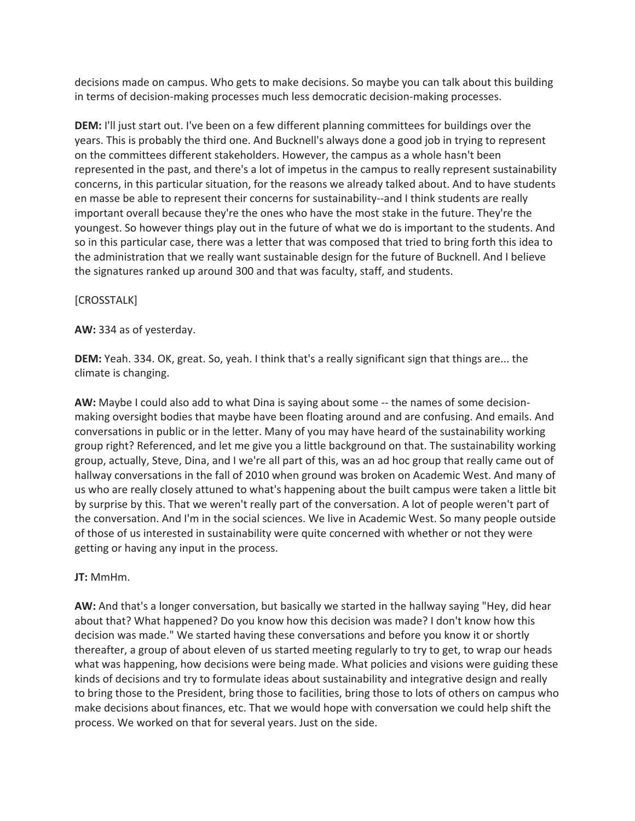decisions made on campus. Who gets to make decisions. So maybe you can talk about this building in terms of decision-making processes much less democratic decision-making processes.

**DEM:** I'll just start out. I've been on a few different planning committees for buildings over the years. This is probably the third one. And Bucknell's always done a good job in trying to represent on the committees different stakeholders. However, the campus as a whole hasn't been represented in the past, and there's a lot of impetus in the campus to really represent sustainability concerns, in this particular situation, for the reasons we already talked about. And to have students en masse be able to represent their concerns for sustainability--and I think students are really important overall because they're the ones who have the most stake in the future. They're the youngest. So however things play out in the future of what we do is important to the students. And so in this particular case, there was a letter that was composed that tried to bring forth this idea to the administration that we really want sustainable design for the future of Bucknell. And I believe the signatures ranked up around 300 and that was faculty, staff, and students.

# [CROSSTALK]

# **AW:** 334 as of yesterday.

**DEM:** Yeah. 334. OK, great. So, yeah. I think that's a really significant sign that things are... the climate is changing.

**AW:** Maybe I could also add to what Dina is saying about some -- the names of some decisionmaking oversight bodies that maybe have been floating around and are confusing. And emails. And conversations in public or in the letter. Many of you may have heard of the sustainability working group right? Referenced, and let me give you a little background on that. The sustainability working group, actually, Steve, Dina, and I we're all part of this, was an ad hoc group that really came out of hallway conversations in the fall of 2010 when ground was broken on Academic West. And many of us who are really closely attuned to what's happening about the built campus were taken a little bit by surprise by this. That we weren't really part of the conversation. A lot of people weren't part of the conversation. And I'm in the social sciences. We live in Academic West. So many people outside of those of us interested in sustainability were quite concerned with whether or not they were getting or having any input in the process.

# **JT:** MmHm.

**AW:** And that's a longer conversation, but basically we started in the hallway saying "Hey, did hear about that? What happened? Do you know how this decision was made? I don't know how this decision was made." We started having these conversations and before you know it or shortly thereafter, a group of about eleven of us started meeting regularly to try to get, to wrap our heads what was happening, how decisions were being made. What policies and visions were guiding these kinds of decisions and try to formulate ideas about sustainability and integrative design and really to bring those to the President, bring those to facilities, bring those to lots of others on campus who make decisions about finances, etc. That we would hope with conversation we could help shift the process. We worked on that for several years. Just on the side.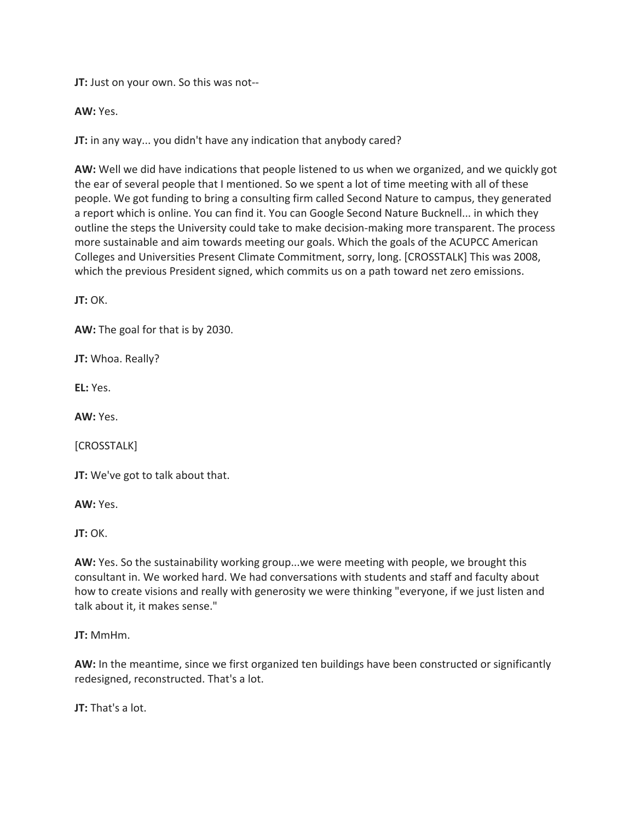**JT:** Just on your own. So this was not--

**AW:** Yes.

**JT:** in any way... you didn't have any indication that anybody cared?

**AW:** Well we did have indications that people listened to us when we organized, and we quickly got the ear of several people that I mentioned. So we spent a lot of time meeting with all of these people. We got funding to bring a consulting firm called Second Nature to campus, they generated a report which is online. You can find it. You can Google Second Nature Bucknell... in which they outline the steps the University could take to make decision-making more transparent. The process more sustainable and aim towards meeting our goals. Which the goals of the ACUPCC American Colleges and Universities Present Climate Commitment, sorry, long. [CROSSTALK] This was 2008, which the previous President signed, which commits us on a path toward net zero emissions.

**JT:** OK.

**AW:** The goal for that is by 2030.

**JT:** Whoa. Really?

**EL:** Yes.

**AW:** Yes.

[CROSSTALK]

**JT:** We've got to talk about that.

**AW:** Yes.

**JT:** OK.

**AW:** Yes. So the sustainability working group...we were meeting with people, we brought this consultant in. We worked hard. We had conversations with students and staff and faculty about how to create visions and really with generosity we were thinking "everyone, if we just listen and talk about it, it makes sense."

**JT:** MmHm.

**AW:** In the meantime, since we first organized ten buildings have been constructed or significantly redesigned, reconstructed. That's a lot.

**JT:** That's a lot.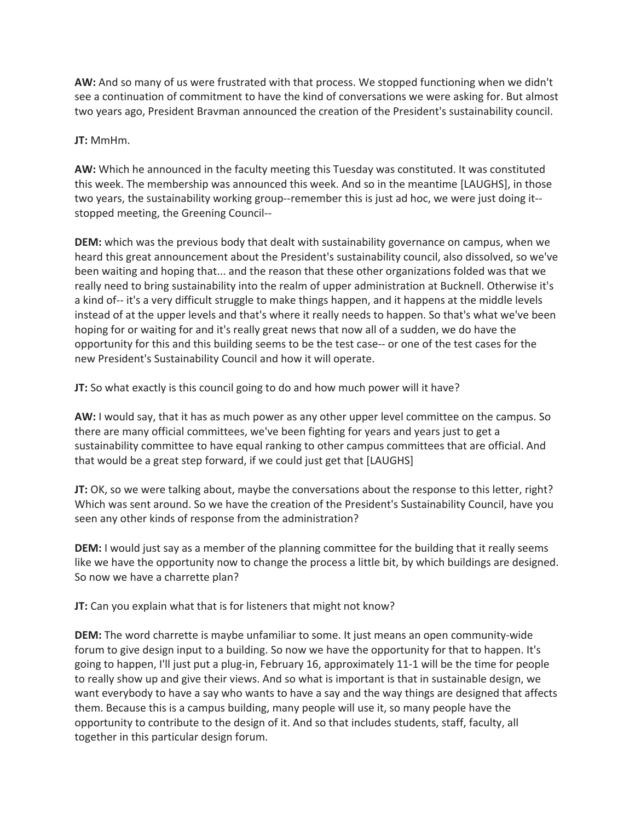**AW:** And so many of us were frustrated with that process. We stopped functioning when we didn't see a continuation of commitment to have the kind of conversations we were asking for. But almost two years ago, President Bravman announced the creation of the President's sustainability council.

# **JT:** MmHm.

**AW:** Which he announced in the faculty meeting this Tuesday was constituted. It was constituted this week. The membership was announced this week. And so in the meantime [LAUGHS], in those two years, the sustainability working group--remember this is just ad hoc, we were just doing it- stopped meeting, the Greening Council--

**DEM:** which was the previous body that dealt with sustainability governance on campus, when we heard this great announcement about the President's sustainability council, also dissolved, so we've been waiting and hoping that... and the reason that these other organizations folded was that we really need to bring sustainability into the realm of upper administration at Bucknell. Otherwise it's a kind of-- it's a very difficult struggle to make things happen, and it happens at the middle levels instead of at the upper levels and that's where it really needs to happen. So that's what we've been hoping for or waiting for and it's really great news that now all of a sudden, we do have the opportunity for this and this building seems to be the test case-- or one of the test cases for the new President's Sustainability Council and how it will operate.

**JT:** So what exactly is this council going to do and how much power will it have?

**AW:** I would say, that it has as much power as any other upper level committee on the campus. So there are many official committees, we've been fighting for years and years just to get a sustainability committee to have equal ranking to other campus committees that are official. And that would be a great step forward, if we could just get that [LAUGHS]

**JT:** OK, so we were talking about, maybe the conversations about the response to this letter, right? Which was sent around. So we have the creation of the President's Sustainability Council, have you seen any other kinds of response from the administration?

**DEM:** I would just say as a member of the planning committee for the building that it really seems like we have the opportunity now to change the process a little bit, by which buildings are designed. So now we have a charrette plan?

**JT:** Can you explain what that is for listeners that might not know?

**DEM:** The word charrette is maybe unfamiliar to some. It just means an open community-wide forum to give design input to a building. So now we have the opportunity for that to happen. It's going to happen, I'll just put a plug-in, February 16, approximately 11-1 will be the time for people to really show up and give their views. And so what is important is that in sustainable design, we want everybody to have a say who wants to have a say and the way things are designed that affects them. Because this is a campus building, many people will use it, so many people have the opportunity to contribute to the design of it. And so that includes students, staff, faculty, all together in this particular design forum.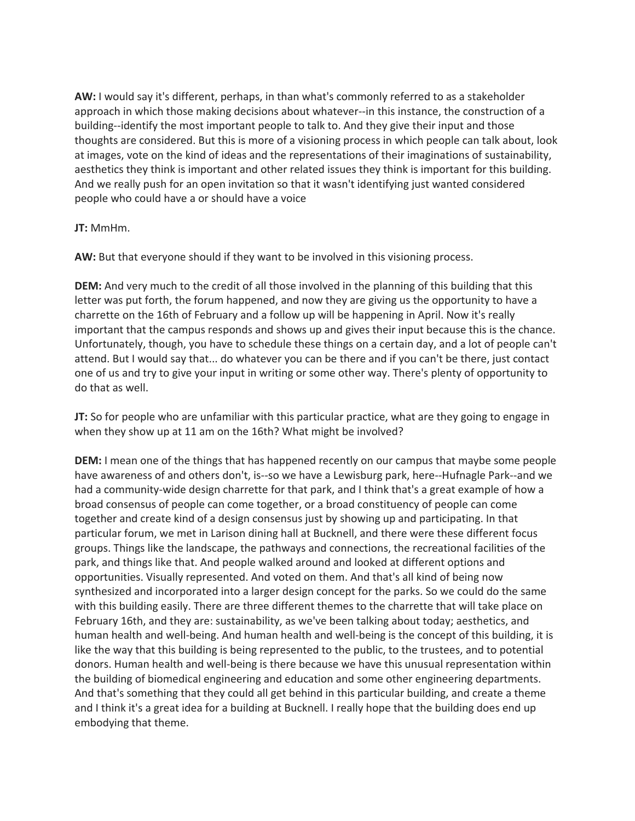**AW:** I would say it's different, perhaps, in than what's commonly referred to as a stakeholder approach in which those making decisions about whatever--in this instance, the construction of a building--identify the most important people to talk to. And they give their input and those thoughts are considered. But this is more of a visioning process in which people can talk about, look at images, vote on the kind of ideas and the representations of their imaginations of sustainability, aesthetics they think is important and other related issues they think is important for this building. And we really push for an open invitation so that it wasn't identifying just wanted considered people who could have a or should have a voice

#### **JT:** MmHm.

**AW:** But that everyone should if they want to be involved in this visioning process.

**DEM:** And very much to the credit of all those involved in the planning of this building that this letter was put forth, the forum happened, and now they are giving us the opportunity to have a charrette on the 16th of February and a follow up will be happening in April. Now it's really important that the campus responds and shows up and gives their input because this is the chance. Unfortunately, though, you have to schedule these things on a certain day, and a lot of people can't attend. But I would say that... do whatever you can be there and if you can't be there, just contact one of us and try to give your input in writing or some other way. There's plenty of opportunity to do that as well.

**JT:** So for people who are unfamiliar with this particular practice, what are they going to engage in when they show up at 11 am on the 16th? What might be involved?

**DEM:** I mean one of the things that has happened recently on our campus that maybe some people have awareness of and others don't, is--so we have a Lewisburg park, here--Hufnagle Park--and we had a community-wide design charrette for that park, and I think that's a great example of how a broad consensus of people can come together, or a broad constituency of people can come together and create kind of a design consensus just by showing up and participating. In that particular forum, we met in Larison dining hall at Bucknell, and there were these different focus groups. Things like the landscape, the pathways and connections, the recreational facilities of the park, and things like that. And people walked around and looked at different options and opportunities. Visually represented. And voted on them. And that's all kind of being now synthesized and incorporated into a larger design concept for the parks. So we could do the same with this building easily. There are three different themes to the charrette that will take place on February 16th, and they are: sustainability, as we've been talking about today; aesthetics, and human health and well-being. And human health and well-being is the concept of this building, it is like the way that this building is being represented to the public, to the trustees, and to potential donors. Human health and well-being is there because we have this unusual representation within the building of biomedical engineering and education and some other engineering departments. And that's something that they could all get behind in this particular building, and create a theme and I think it's a great idea for a building at Bucknell. I really hope that the building does end up embodying that theme.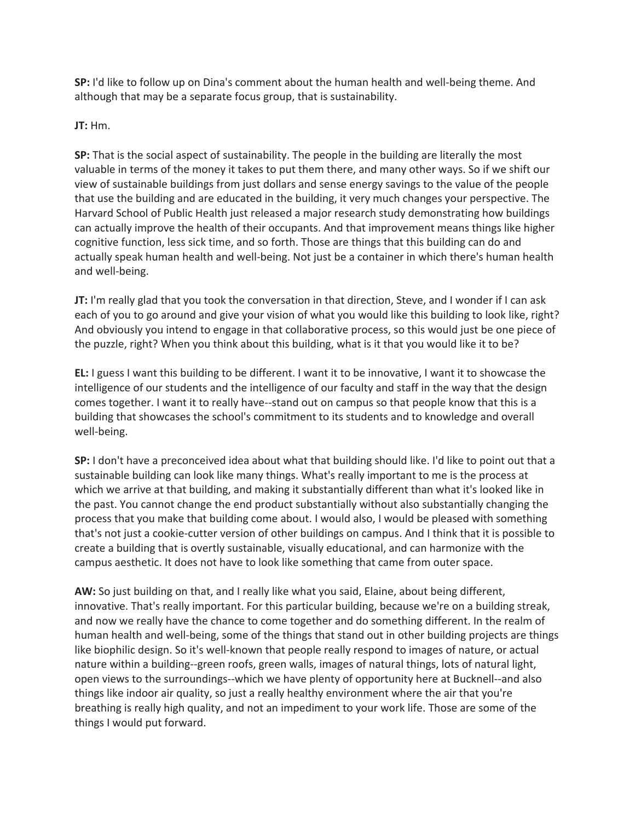**SP:** I'd like to follow up on Dina's comment about the human health and well-being theme. And although that may be a separate focus group, that is sustainability.

**JT:** Hm.

**SP:** That is the social aspect of sustainability. The people in the building are literally the most valuable in terms of the money it takes to put them there, and many other ways. So if we shift our view of sustainable buildings from just dollars and sense energy savings to the value of the people that use the building and are educated in the building, it very much changes your perspective. The Harvard School of Public Health just released a major research study demonstrating how buildings can actually improve the health of their occupants. And that improvement means things like higher cognitive function, less sick time, and so forth. Those are things that this building can do and actually speak human health and well-being. Not just be a container in which there's human health and well-being.

**JT:** I'm really glad that you took the conversation in that direction, Steve, and I wonder if I can ask each of you to go around and give your vision of what you would like this building to look like, right? And obviously you intend to engage in that collaborative process, so this would just be one piece of the puzzle, right? When you think about this building, what is it that you would like it to be?

**EL:** I guess I want this building to be different. I want it to be innovative, I want it to showcase the intelligence of our students and the intelligence of our faculty and staff in the way that the design comes together. I want it to really have--stand out on campus so that people know that this is a building that showcases the school's commitment to its students and to knowledge and overall well-being.

**SP:** I don't have a preconceived idea about what that building should like. I'd like to point out that a sustainable building can look like many things. What's really important to me is the process at which we arrive at that building, and making it substantially different than what it's looked like in the past. You cannot change the end product substantially without also substantially changing the process that you make that building come about. I would also, I would be pleased with something that's not just a cookie-cutter version of other buildings on campus. And I think that it is possible to create a building that is overtly sustainable, visually educational, and can harmonize with the campus aesthetic. It does not have to look like something that came from outer space.

**AW:** So just building on that, and I really like what you said, Elaine, about being different, innovative. That's really important. For this particular building, because we're on a building streak, and now we really have the chance to come together and do something different. In the realm of human health and well-being, some of the things that stand out in other building projects are things like biophilic design. So it's well-known that people really respond to images of nature, or actual nature within a building--green roofs, green walls, images of natural things, lots of natural light, open views to the surroundings--which we have plenty of opportunity here at Bucknell--and also things like indoor air quality, so just a really healthy environment where the air that you're breathing is really high quality, and not an impediment to your work life. Those are some of the things I would put forward.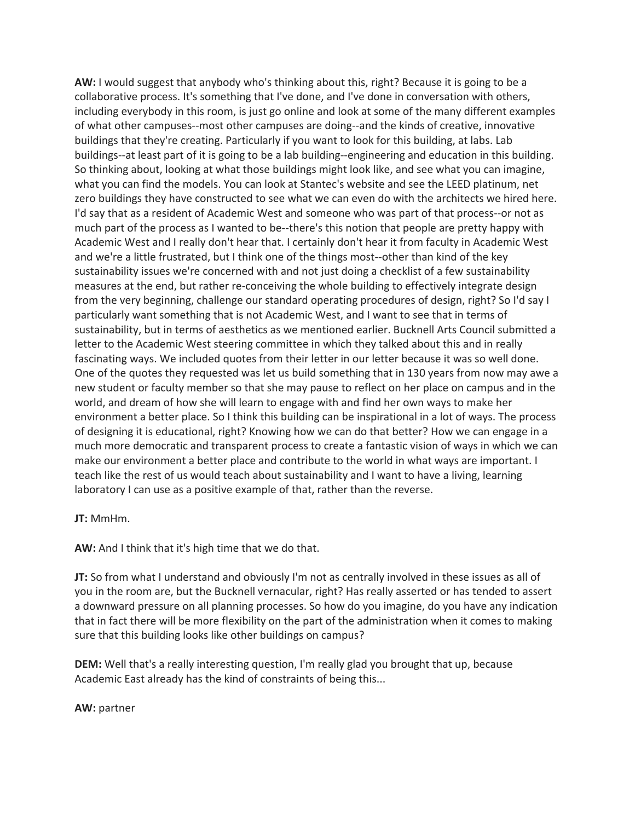**AW:** I would suggest that anybody who's thinking about this, right? Because it is going to be a collaborative process. It's something that I've done, and I've done in conversation with others, including everybody in this room, is just go online and look at some of the many different examples of what other campuses--most other campuses are doing--and the kinds of creative, innovative buildings that they're creating. Particularly if you want to look for this building, at labs. Lab buildings--at least part of it is going to be a lab building--engineering and education in this building. So thinking about, looking at what those buildings might look like, and see what you can imagine, what you can find the models. You can look at Stantec's website and see the LEED platinum, net zero buildings they have constructed to see what we can even do with the architects we hired here. I'd say that as a resident of Academic West and someone who was part of that process--or not as much part of the process as I wanted to be--there's this notion that people are pretty happy with Academic West and I really don't hear that. I certainly don't hear it from faculty in Academic West and we're a little frustrated, but I think one of the things most--other than kind of the key sustainability issues we're concerned with and not just doing a checklist of a few sustainability measures at the end, but rather re-conceiving the whole building to effectively integrate design from the very beginning, challenge our standard operating procedures of design, right? So I'd say I particularly want something that is not Academic West, and I want to see that in terms of sustainability, but in terms of aesthetics as we mentioned earlier. Bucknell Arts Council submitted a letter to the Academic West steering committee in which they talked about this and in really fascinating ways. We included quotes from their letter in our letter because it was so well done. One of the quotes they requested was let us build something that in 130 years from now may awe a new student or faculty member so that she may pause to reflect on her place on campus and in the world, and dream of how she will learn to engage with and find her own ways to make her environment a better place. So I think this building can be inspirational in a lot of ways. The process of designing it is educational, right? Knowing how we can do that better? How we can engage in a much more democratic and transparent process to create a fantastic vision of ways in which we can make our environment a better place and contribute to the world in what ways are important. I teach like the rest of us would teach about sustainability and I want to have a living, learning laboratory I can use as a positive example of that, rather than the reverse.

**JT:** MmHm.

**AW:** And I think that it's high time that we do that.

**JT:** So from what I understand and obviously I'm not as centrally involved in these issues as all of you in the room are, but the Bucknell vernacular, right? Has really asserted or has tended to assert a downward pressure on all planning processes. So how do you imagine, do you have any indication that in fact there will be more flexibility on the part of the administration when it comes to making sure that this building looks like other buildings on campus?

**DEM:** Well that's a really interesting question, I'm really glad you brought that up, because Academic East already has the kind of constraints of being this...

#### **AW:** partner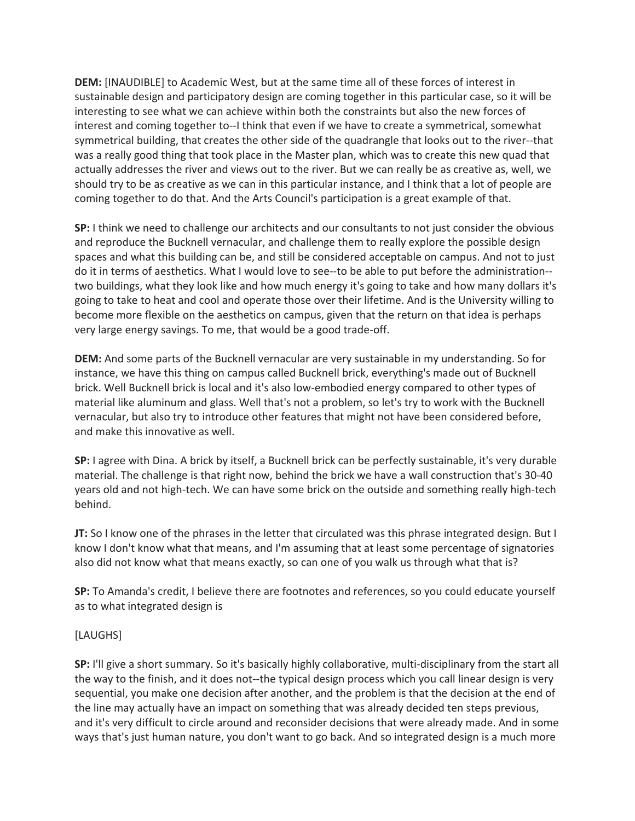**DEM:** [INAUDIBLE] to Academic West, but at the same time all of these forces of interest in sustainable design and participatory design are coming together in this particular case, so it will be interesting to see what we can achieve within both the constraints but also the new forces of interest and coming together to--I think that even if we have to create a symmetrical, somewhat symmetrical building, that creates the other side of the quadrangle that looks out to the river--that was a really good thing that took place in the Master plan, which was to create this new quad that actually addresses the river and views out to the river. But we can really be as creative as, well, we should try to be as creative as we can in this particular instance, and I think that a lot of people are coming together to do that. And the Arts Council's participation is a great example of that.

**SP:** I think we need to challenge our architects and our consultants to not just consider the obvious and reproduce the Bucknell vernacular, and challenge them to really explore the possible design spaces and what this building can be, and still be considered acceptable on campus. And not to just do it in terms of aesthetics. What I would love to see--to be able to put before the administration- two buildings, what they look like and how much energy it's going to take and how many dollars it's going to take to heat and cool and operate those over their lifetime. And is the University willing to become more flexible on the aesthetics on campus, given that the return on that idea is perhaps very large energy savings. To me, that would be a good trade-off.

**DEM:** And some parts of the Bucknell vernacular are very sustainable in my understanding. So for instance, we have this thing on campus called Bucknell brick, everything's made out of Bucknell brick. Well Bucknell brick is local and it's also low-embodied energy compared to other types of material like aluminum and glass. Well that's not a problem, so let's try to work with the Bucknell vernacular, but also try to introduce other features that might not have been considered before, and make this innovative as well.

**SP:** I agree with Dina. A brick by itself, a Bucknell brick can be perfectly sustainable, it's very durable material. The challenge is that right now, behind the brick we have a wall construction that's 30-40 years old and not high-tech. We can have some brick on the outside and something really high-tech behind.

**JT:** So I know one of the phrases in the letter that circulated was this phrase integrated design. But I know I don't know what that means, and I'm assuming that at least some percentage of signatories also did not know what that means exactly, so can one of you walk us through what that is?

**SP:** To Amanda's credit, I believe there are footnotes and references, so you could educate yourself as to what integrated design is

# [LAUGHS]

**SP:** I'll give a short summary. So it's basically highly collaborative, multi-disciplinary from the start all the way to the finish, and it does not--the typical design process which you call linear design is very sequential, you make one decision after another, and the problem is that the decision at the end of the line may actually have an impact on something that was already decided ten steps previous, and it's very difficult to circle around and reconsider decisions that were already made. And in some ways that's just human nature, you don't want to go back. And so integrated design is a much more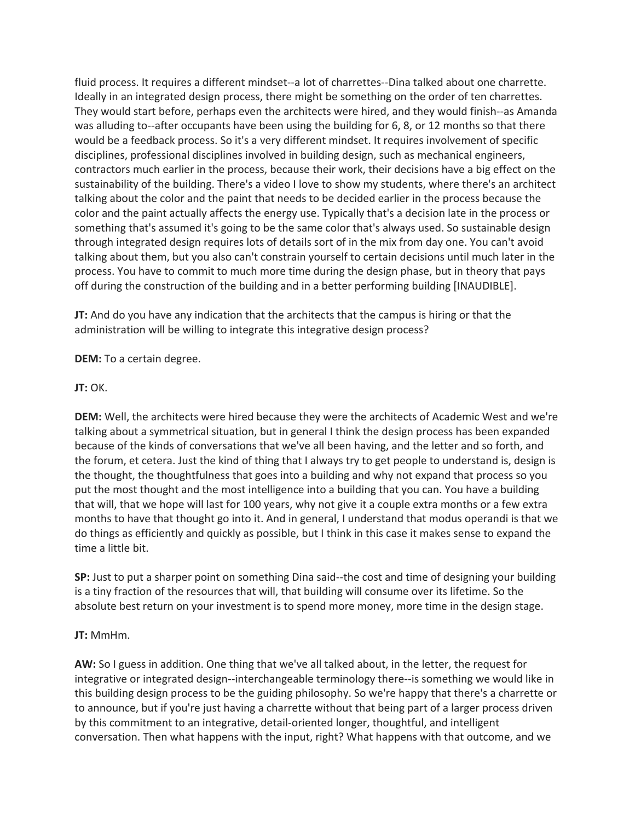fluid process. It requires a different mindset--a lot of charrettes--Dina talked about one charrette. Ideally in an integrated design process, there might be something on the order of ten charrettes. They would start before, perhaps even the architects were hired, and they would finish--as Amanda was alluding to--after occupants have been using the building for 6, 8, or 12 months so that there would be a feedback process. So it's a very different mindset. It requires involvement of specific disciplines, professional disciplines involved in building design, such as mechanical engineers, contractors much earlier in the process, because their work, their decisions have a big effect on the sustainability of the building. There's a video I love to show my students, where there's an architect talking about the color and the paint that needs to be decided earlier in the process because the color and the paint actually affects the energy use. Typically that's a decision late in the process or something that's assumed it's going to be the same color that's always used. So sustainable design through integrated design requires lots of details sort of in the mix from day one. You can't avoid talking about them, but you also can't constrain yourself to certain decisions until much later in the process. You have to commit to much more time during the design phase, but in theory that pays off during the construction of the building and in a better performing building [INAUDIBLE].

**JT:** And do you have any indication that the architects that the campus is hiring or that the administration will be willing to integrate this integrative design process?

**DEM:** To a certain degree.

#### **JT:** OK.

**DEM:** Well, the architects were hired because they were the architects of Academic West and we're talking about a symmetrical situation, but in general I think the design process has been expanded because of the kinds of conversations that we've all been having, and the letter and so forth, and the forum, et cetera. Just the kind of thing that I always try to get people to understand is, design is the thought, the thoughtfulness that goes into a building and why not expand that process so you put the most thought and the most intelligence into a building that you can. You have a building that will, that we hope will last for 100 years, why not give it a couple extra months or a few extra months to have that thought go into it. And in general, I understand that modus operandi is that we do things as efficiently and quickly as possible, but I think in this case it makes sense to expand the time a little bit.

**SP:** Just to put a sharper point on something Dina said--the cost and time of designing your building is a tiny fraction of the resources that will, that building will consume over its lifetime. So the absolute best return on your investment is to spend more money, more time in the design stage.

# **JT:** MmHm.

**AW:** So I guess in addition. One thing that we've all talked about, in the letter, the request for integrative or integrated design--interchangeable terminology there--is something we would like in this building design process to be the guiding philosophy. So we're happy that there's a charrette or to announce, but if you're just having a charrette without that being part of a larger process driven by this commitment to an integrative, detail-oriented longer, thoughtful, and intelligent conversation. Then what happens with the input, right? What happens with that outcome, and we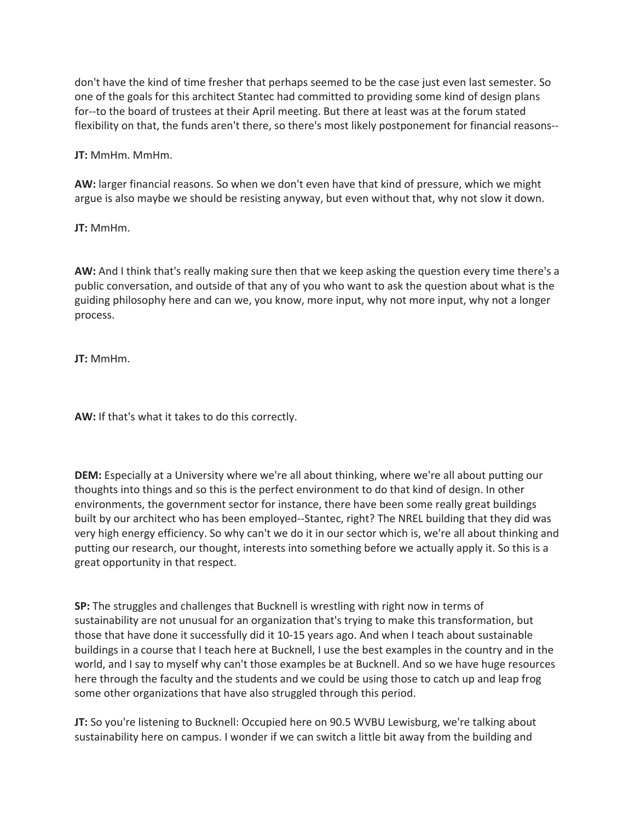don't have the kind of time fresher that perhaps seemed to be the case just even last semester. So one of the goals for this architect Stantec had committed to providing some kind of design plans for--to the board of trustees at their April meeting. But there at least was at the forum stated flexibility on that, the funds aren't there, so there's most likely postponement for financial reasons--

**JT:** MmHm. MmHm.

**AW:** larger financial reasons. So when we don't even have that kind of pressure, which we might argue is also maybe we should be resisting anyway, but even without that, why not slow it down.

**JT:** MmHm.

**AW:** And I think that's really making sure then that we keep asking the question every time there's a public conversation, and outside of that any of you who want to ask the question about what is the guiding philosophy here and can we, you know, more input, why not more input, why not a longer process.

**JT:** MmHm.

**AW:** If that's what it takes to do this correctly.

**DEM:** Especially at a University where we're all about thinking, where we're all about putting our thoughts into things and so this is the perfect environment to do that kind of design. In other environments, the government sector for instance, there have been some really great buildings built by our architect who has been employed--Stantec, right? The NREL building that they did was very high energy efficiency. So why can't we do it in our sector which is, we're all about thinking and putting our research, our thought, interests into something before we actually apply it. So this is a great opportunity in that respect.

**SP:** The struggles and challenges that Bucknell is wrestling with right now in terms of sustainability are not unusual for an organization that's trying to make this transformation, but those that have done it successfully did it 10-15 years ago. And when I teach about sustainable buildings in a course that I teach here at Bucknell, I use the best examples in the country and in the world, and I say to myself why can't those examples be at Bucknell. And so we have huge resources here through the faculty and the students and we could be using those to catch up and leap frog some other organizations that have also struggled through this period.

**JT:** So you're listening to Bucknell: Occupied here on 90.5 WVBU Lewisburg, we're talking about sustainability here on campus. I wonder if we can switch a little bit away from the building and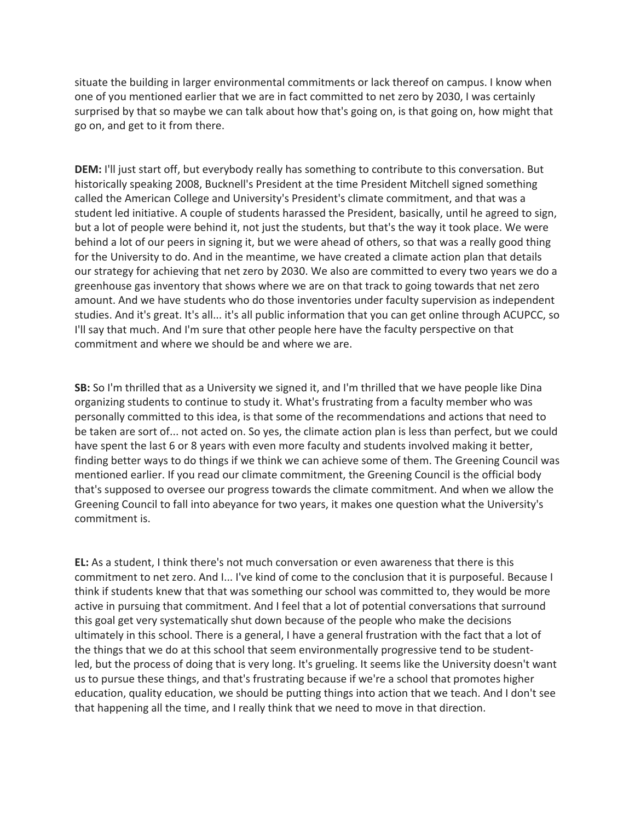situate the building in larger environmental commitments or lack thereof on campus. I know when one of you mentioned earlier that we are in fact committed to net zero by 2030, I was certainly surprised by that so maybe we can talk about how that's going on, is that going on, how might that go on, and get to it from there.

**DEM:** I'll just start off, but everybody really has something to contribute to this conversation. But historically speaking 2008, Bucknell's President at the time President Mitchell signed something called the American College and University's President's climate commitment, and that was a student led initiative. A couple of students harassed the President, basically, until he agreed to sign, but a lot of people were behind it, not just the students, but that's the way it took place. We were behind a lot of our peers in signing it, but we were ahead of others, so that was a really good thing for the University to do. And in the meantime, we have created a climate action plan that details our strategy for achieving that net zero by 2030. We also are committed to every two years we do a greenhouse gas inventory that shows where we are on that track to going towards that net zero amount. And we have students who do those inventories under faculty supervision as independent studies. And it's great. It's all... it's all public information that you can get online through ACUPCC, so I'll say that much. And I'm sure that other people here have the faculty perspective on that commitment and where we should be and where we are.

**SB:** So I'm thrilled that as a University we signed it, and I'm thrilled that we have people like Dina organizing students to continue to study it. What's frustrating from a faculty member who was personally committed to this idea, is that some of the recommendations and actions that need to be taken are sort of... not acted on. So yes, the climate action plan is less than perfect, but we could have spent the last 6 or 8 years with even more faculty and students involved making it better, finding better ways to do things if we think we can achieve some of them. The Greening Council was mentioned earlier. If you read our climate commitment, the Greening Council is the official body that's supposed to oversee our progress towards the climate commitment. And when we allow the Greening Council to fall into abeyance for two years, it makes one question what the University's commitment is.

**EL:** As a student, I think there's not much conversation or even awareness that there is this commitment to net zero. And I... I've kind of come to the conclusion that it is purposeful. Because I think if students knew that that was something our school was committed to, they would be more active in pursuing that commitment. And I feel that a lot of potential conversations that surround this goal get very systematically shut down because of the people who make the decisions ultimately in this school. There is a general, I have a general frustration with the fact that a lot of the things that we do at this school that seem environmentally progressive tend to be studentled, but the process of doing that is very long. It's grueling. It seems like the University doesn't want us to pursue these things, and that's frustrating because if we're a school that promotes higher education, quality education, we should be putting things into action that we teach. And I don't see that happening all the time, and I really think that we need to move in that direction.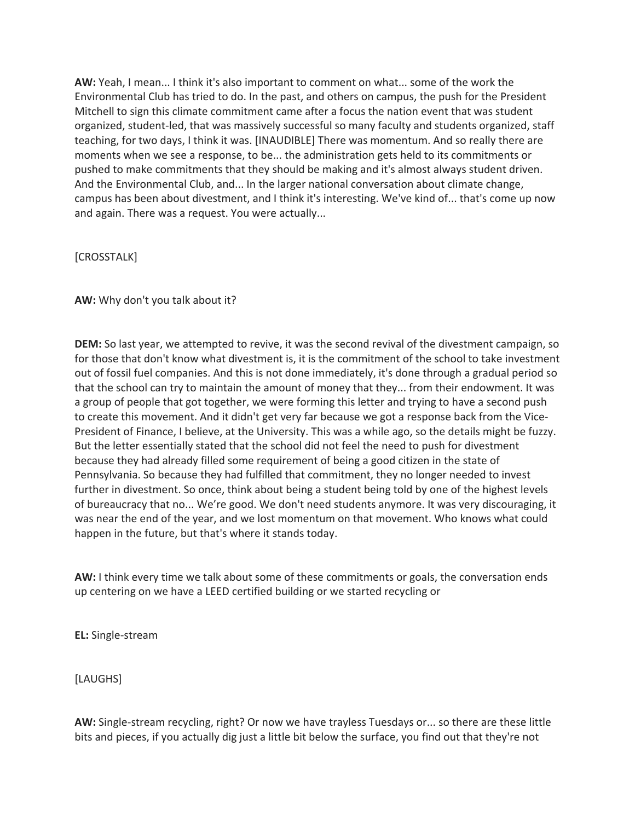**AW:** Yeah, I mean... I think it's also important to comment on what... some of the work the Environmental Club has tried to do. In the past, and others on campus, the push for the President Mitchell to sign this climate commitment came after a focus the nation event that was student organized, student-led, that was massively successful so many faculty and students organized, staff teaching, for two days, I think it was. [INAUDIBLE] There was momentum. And so really there are moments when we see a response, to be... the administration gets held to its commitments or pushed to make commitments that they should be making and it's almost always student driven. And the Environmental Club, and... In the larger national conversation about climate change, campus has been about divestment, and I think it's interesting. We've kind of... that's come up now and again. There was a request. You were actually...

#### [CROSSTALK]

#### **AW:** Why don't you talk about it?

**DEM:** So last year, we attempted to revive, it was the second revival of the divestment campaign, so for those that don't know what divestment is, it is the commitment of the school to take investment out of fossil fuel companies. And this is not done immediately, it's done through a gradual period so that the school can try to maintain the amount of money that they... from their endowment. It was a group of people that got together, we were forming this letter and trying to have a second push to create this movement. And it didn't get very far because we got a response back from the Vice-President of Finance, I believe, at the University. This was a while ago, so the details might be fuzzy. But the letter essentially stated that the school did not feel the need to push for divestment because they had already filled some requirement of being a good citizen in the state of Pennsylvania. So because they had fulfilled that commitment, they no longer needed to invest further in divestment. So once, think about being a student being told by one of the highest levels of bureaucracy that no... We're good. We don't need students anymore. It was very discouraging, it was near the end of the year, and we lost momentum on that movement. Who knows what could happen in the future, but that's where it stands today.

**AW:** I think every time we talk about some of these commitments or goals, the conversation ends up centering on we have a LEED certified building or we started recycling or

**EL:** Single-stream

[LAUGHS]

**AW:** Single-stream recycling, right? Or now we have trayless Tuesdays or... so there are these little bits and pieces, if you actually dig just a little bit below the surface, you find out that they're not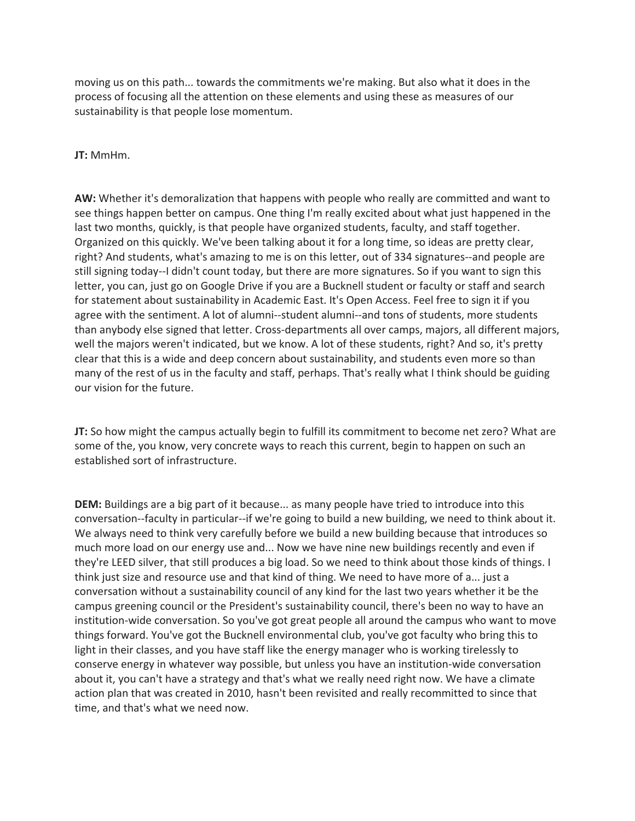moving us on this path... towards the commitments we're making. But also what it does in the process of focusing all the attention on these elements and using these as measures of our sustainability is that people lose momentum.

#### **JT:** MmHm.

**AW:** Whether it's demoralization that happens with people who really are committed and want to see things happen better on campus. One thing I'm really excited about what just happened in the last two months, quickly, is that people have organized students, faculty, and staff together. Organized on this quickly. We've been talking about it for a long time, so ideas are pretty clear, right? And students, what's amazing to me is on this letter, out of 334 signatures--and people are still signing today--I didn't count today, but there are more signatures. So if you want to sign this letter, you can, just go on Google Drive if you are a Bucknell student or faculty or staff and search for statement about sustainability in Academic East. It's Open Access. Feel free to sign it if you agree with the sentiment. A lot of alumni--student alumni--and tons of students, more students than anybody else signed that letter. Cross-departments all over camps, majors, all different majors, well the majors weren't indicated, but we know. A lot of these students, right? And so, it's pretty clear that this is a wide and deep concern about sustainability, and students even more so than many of the rest of us in the faculty and staff, perhaps. That's really what I think should be guiding our vision for the future.

**JT:** So how might the campus actually begin to fulfill its commitment to become net zero? What are some of the, you know, very concrete ways to reach this current, begin to happen on such an established sort of infrastructure.

**DEM:** Buildings are a big part of it because... as many people have tried to introduce into this conversation--faculty in particular--if we're going to build a new building, we need to think about it. We always need to think very carefully before we build a new building because that introduces so much more load on our energy use and... Now we have nine new buildings recently and even if they're LEED silver, that still produces a big load. So we need to think about those kinds of things. I think just size and resource use and that kind of thing. We need to have more of a... just a conversation without a sustainability council of any kind for the last two years whether it be the campus greening council or the President's sustainability council, there's been no way to have an institution-wide conversation. So you've got great people all around the campus who want to move things forward. You've got the Bucknell environmental club, you've got faculty who bring this to light in their classes, and you have staff like the energy manager who is working tirelessly to conserve energy in whatever way possible, but unless you have an institution-wide conversation about it, you can't have a strategy and that's what we really need right now. We have a climate action plan that was created in 2010, hasn't been revisited and really recommitted to since that time, and that's what we need now.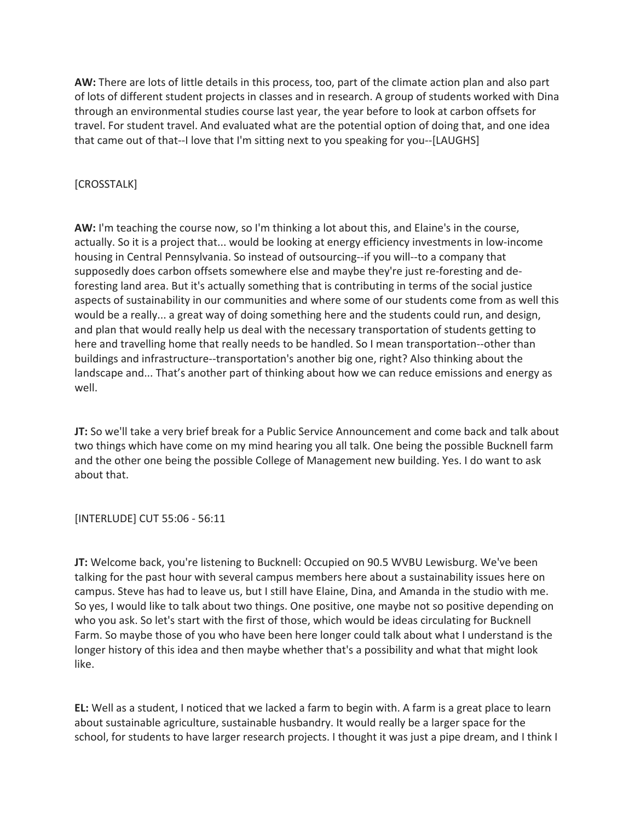**AW:** There are lots of little details in this process, too, part of the climate action plan and also part of lots of different student projects in classes and in research. A group of students worked with Dina through an environmental studies course last year, the year before to look at carbon offsets for travel. For student travel. And evaluated what are the potential option of doing that, and one idea that came out of that--I love that I'm sitting next to you speaking for you--[LAUGHS]

# [CROSSTALK]

**AW:** I'm teaching the course now, so I'm thinking a lot about this, and Elaine's in the course, actually. So it is a project that... would be looking at energy efficiency investments in low-income housing in Central Pennsylvania. So instead of outsourcing--if you will--to a company that supposedly does carbon offsets somewhere else and maybe they're just re-foresting and deforesting land area. But it's actually something that is contributing in terms of the social justice aspects of sustainability in our communities and where some of our students come from as well this would be a really... a great way of doing something here and the students could run, and design, and plan that would really help us deal with the necessary transportation of students getting to here and travelling home that really needs to be handled. So I mean transportation--other than buildings and infrastructure--transportation's another big one, right? Also thinking about the landscape and... That's another part of thinking about how we can reduce emissions and energy as well.

**JT:** So we'll take a very brief break for a Public Service Announcement and come back and talk about two things which have come on my mind hearing you all talk. One being the possible Bucknell farm and the other one being the possible College of Management new building. Yes. I do want to ask about that.

# [INTERLUDE] CUT 55:06 - 56:11

**JT:** Welcome back, you're listening to Bucknell: Occupied on 90.5 WVBU Lewisburg. We've been talking for the past hour with several campus members here about a sustainability issues here on campus. Steve has had to leave us, but I still have Elaine, Dina, and Amanda in the studio with me. So yes, I would like to talk about two things. One positive, one maybe not so positive depending on who you ask. So let's start with the first of those, which would be ideas circulating for Bucknell Farm. So maybe those of you who have been here longer could talk about what I understand is the longer history of this idea and then maybe whether that's a possibility and what that might look like.

**EL:** Well as a student, I noticed that we lacked a farm to begin with. A farm is a great place to learn about sustainable agriculture, sustainable husbandry. It would really be a larger space for the school, for students to have larger research projects. I thought it was just a pipe dream, and I think I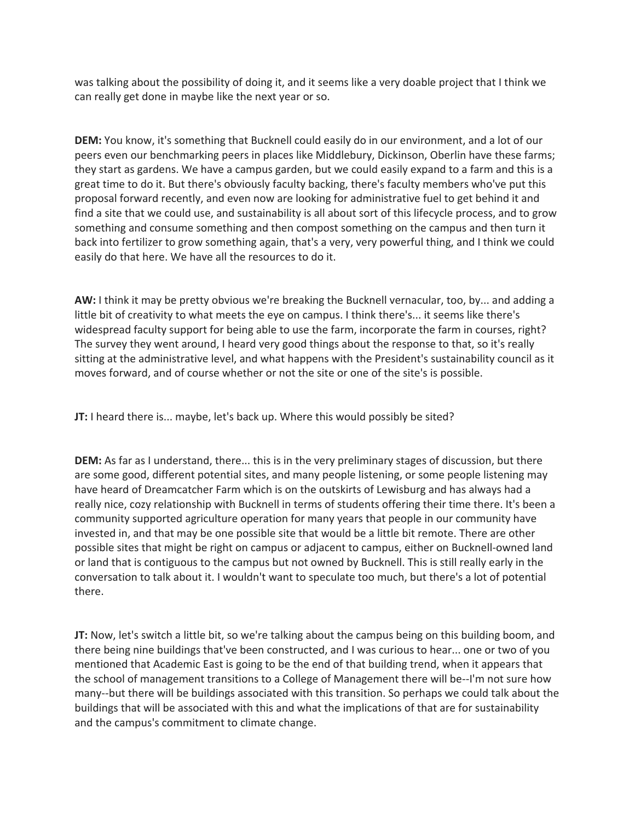was talking about the possibility of doing it, and it seems like a very doable project that I think we can really get done in maybe like the next year or so.

**DEM:** You know, it's something that Bucknell could easily do in our environment, and a lot of our peers even our benchmarking peers in places like Middlebury, Dickinson, Oberlin have these farms; they start as gardens. We have a campus garden, but we could easily expand to a farm and this is a great time to do it. But there's obviously faculty backing, there's faculty members who've put this proposal forward recently, and even now are looking for administrative fuel to get behind it and find a site that we could use, and sustainability is all about sort of this lifecycle process, and to grow something and consume something and then compost something on the campus and then turn it back into fertilizer to grow something again, that's a very, very powerful thing, and I think we could easily do that here. We have all the resources to do it.

**AW:** I think it may be pretty obvious we're breaking the Bucknell vernacular, too, by... and adding a little bit of creativity to what meets the eye on campus. I think there's... it seems like there's widespread faculty support for being able to use the farm, incorporate the farm in courses, right? The survey they went around, I heard very good things about the response to that, so it's really sitting at the administrative level, and what happens with the President's sustainability council as it moves forward, and of course whether or not the site or one of the site's is possible.

**JT:** I heard there is... maybe, let's back up. Where this would possibly be sited?

**DEM:** As far as I understand, there... this is in the very preliminary stages of discussion, but there are some good, different potential sites, and many people listening, or some people listening may have heard of Dreamcatcher Farm which is on the outskirts of Lewisburg and has always had a really nice, cozy relationship with Bucknell in terms of students offering their time there. It's been a community supported agriculture operation for many years that people in our community have invested in, and that may be one possible site that would be a little bit remote. There are other possible sites that might be right on campus or adjacent to campus, either on Bucknell-owned land or land that is contiguous to the campus but not owned by Bucknell. This is still really early in the conversation to talk about it. I wouldn't want to speculate too much, but there's a lot of potential there.

**JT:** Now, let's switch a little bit, so we're talking about the campus being on this building boom, and there being nine buildings that've been constructed, and I was curious to hear... one or two of you mentioned that Academic East is going to be the end of that building trend, when it appears that the school of management transitions to a College of Management there will be--I'm not sure how many--but there will be buildings associated with this transition. So perhaps we could talk about the buildings that will be associated with this and what the implications of that are for sustainability and the campus's commitment to climate change.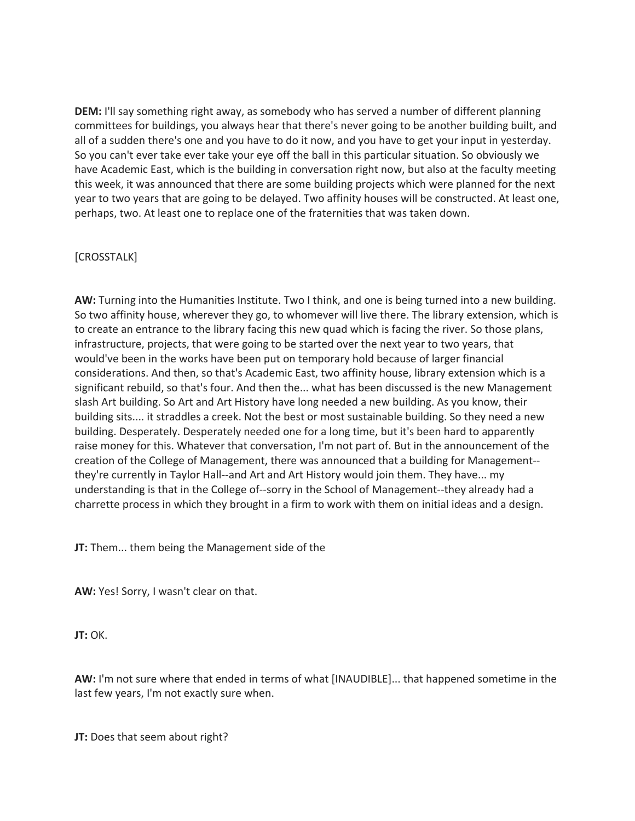**DEM:** I'll say something right away, as somebody who has served a number of different planning committees for buildings, you always hear that there's never going to be another building built, and all of a sudden there's one and you have to do it now, and you have to get your input in yesterday. So you can't ever take ever take your eye off the ball in this particular situation. So obviously we have Academic East, which is the building in conversation right now, but also at the faculty meeting this week, it was announced that there are some building projects which were planned for the next year to two years that are going to be delayed. Two affinity houses will be constructed. At least one, perhaps, two. At least one to replace one of the fraternities that was taken down.

# [CROSSTALK]

**AW:** Turning into the Humanities Institute. Two I think, and one is being turned into a new building. So two affinity house, wherever they go, to whomever will live there. The library extension, which is to create an entrance to the library facing this new quad which is facing the river. So those plans, infrastructure, projects, that were going to be started over the next year to two years, that would've been in the works have been put on temporary hold because of larger financial considerations. And then, so that's Academic East, two affinity house, library extension which is a significant rebuild, so that's four. And then the... what has been discussed is the new Management slash Art building. So Art and Art History have long needed a new building. As you know, their building sits.... it straddles a creek. Not the best or most sustainable building. So they need a new building. Desperately. Desperately needed one for a long time, but it's been hard to apparently raise money for this. Whatever that conversation, I'm not part of. But in the announcement of the creation of the College of Management, there was announced that a building for Management- they're currently in Taylor Hall--and Art and Art History would join them. They have... my understanding is that in the College of--sorry in the School of Management--they already had a charrette process in which they brought in a firm to work with them on initial ideas and a design.

**JT:** Them... them being the Management side of the

**AW:** Yes! Sorry, I wasn't clear on that.

**JT:** OK.

**AW:** I'm not sure where that ended in terms of what [INAUDIBLE]... that happened sometime in the last few years, I'm not exactly sure when.

**JT:** Does that seem about right?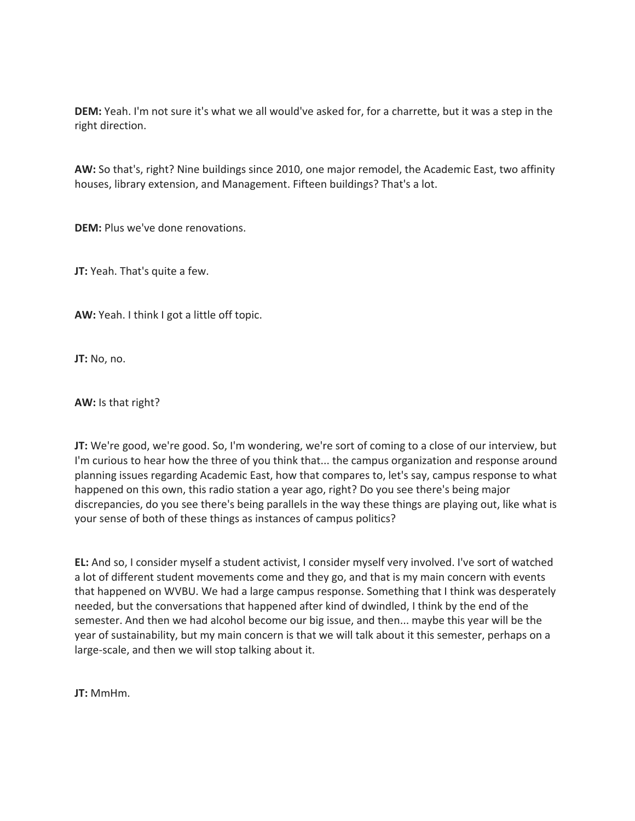**DEM:** Yeah. I'm not sure it's what we all would've asked for, for a charrette, but it was a step in the right direction.

**AW:** So that's, right? Nine buildings since 2010, one major remodel, the Academic East, two affinity houses, library extension, and Management. Fifteen buildings? That's a lot.

**DEM:** Plus we've done renovations.

**JT:** Yeah. That's quite a few.

**AW:** Yeah. I think I got a little off topic.

**JT:** No, no.

**AW:** Is that right?

**JT:** We're good, we're good. So, I'm wondering, we're sort of coming to a close of our interview, but I'm curious to hear how the three of you think that... the campus organization and response around planning issues regarding Academic East, how that compares to, let's say, campus response to what happened on this own, this radio station a year ago, right? Do you see there's being major discrepancies, do you see there's being parallels in the way these things are playing out, like what is your sense of both of these things as instances of campus politics?

**EL:** And so, I consider myself a student activist, I consider myself very involved. I've sort of watched a lot of different student movements come and they go, and that is my main concern with events that happened on WVBU. We had a large campus response. Something that I think was desperately needed, but the conversations that happened after kind of dwindled, I think by the end of the semester. And then we had alcohol become our big issue, and then... maybe this year will be the year of sustainability, but my main concern is that we will talk about it this semester, perhaps on a large-scale, and then we will stop talking about it.

**JT:** MmHm.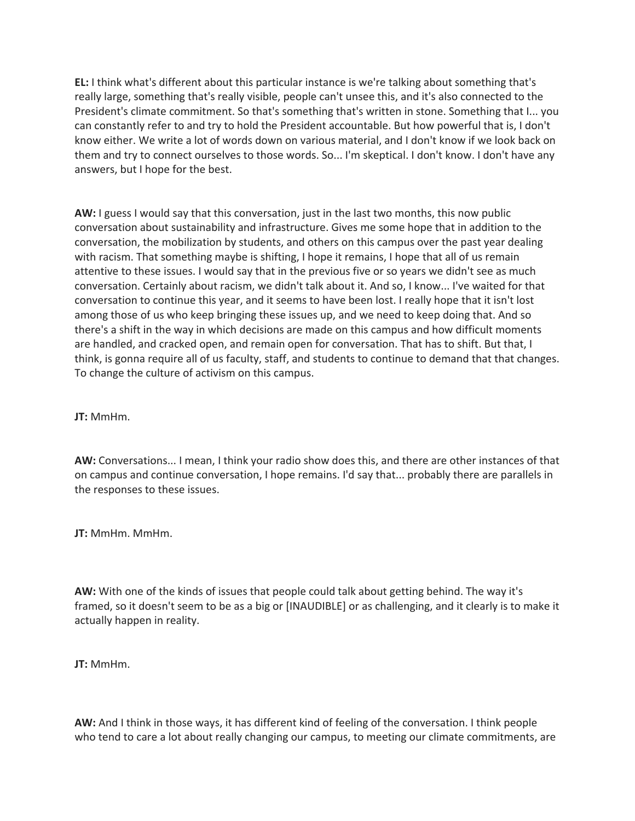**EL:** I think what's different about this particular instance is we're talking about something that's really large, something that's really visible, people can't unsee this, and it's also connected to the President's climate commitment. So that's something that's written in stone. Something that I... you can constantly refer to and try to hold the President accountable. But how powerful that is, I don't know either. We write a lot of words down on various material, and I don't know if we look back on them and try to connect ourselves to those words. So... I'm skeptical. I don't know. I don't have any answers, but I hope for the best.

**AW:** I guess I would say that this conversation, just in the last two months, this now public conversation about sustainability and infrastructure. Gives me some hope that in addition to the conversation, the mobilization by students, and others on this campus over the past year dealing with racism. That something maybe is shifting, I hope it remains, I hope that all of us remain attentive to these issues. I would say that in the previous five or so years we didn't see as much conversation. Certainly about racism, we didn't talk about it. And so, I know... I've waited for that conversation to continue this year, and it seems to have been lost. I really hope that it isn't lost among those of us who keep bringing these issues up, and we need to keep doing that. And so there's a shift in the way in which decisions are made on this campus and how difficult moments are handled, and cracked open, and remain open for conversation. That has to shift. But that, I think, is gonna require all of us faculty, staff, and students to continue to demand that that changes. To change the culture of activism on this campus.

**JT:** MmHm.

**AW:** Conversations... I mean, I think your radio show does this, and there are other instances of that on campus and continue conversation, I hope remains. I'd say that... probably there are parallels in the responses to these issues.

**JT:** MmHm. MmHm.

**AW:** With one of the kinds of issues that people could talk about getting behind. The way it's framed, so it doesn't seem to be as a big or [INAUDIBLE] or as challenging, and it clearly is to make it actually happen in reality.

**JT:** MmHm.

**AW:** And I think in those ways, it has different kind of feeling of the conversation. I think people who tend to care a lot about really changing our campus, to meeting our climate commitments, are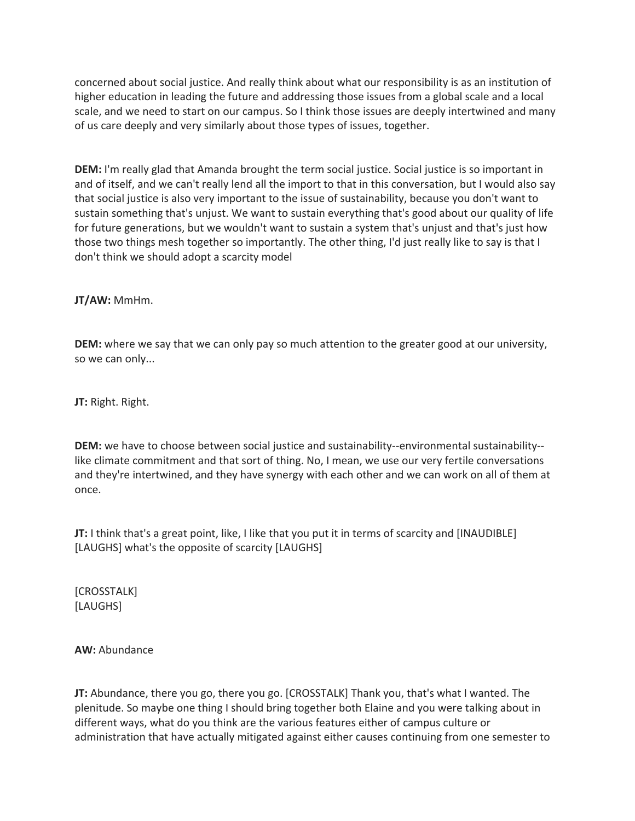concerned about social justice. And really think about what our responsibility is as an institution of higher education in leading the future and addressing those issues from a global scale and a local scale, and we need to start on our campus. So I think those issues are deeply intertwined and many of us care deeply and very similarly about those types of issues, together.

**DEM:** I'm really glad that Amanda brought the term social justice. Social justice is so important in and of itself, and we can't really lend all the import to that in this conversation, but I would also say that social justice is also very important to the issue of sustainability, because you don't want to sustain something that's unjust. We want to sustain everything that's good about our quality of life for future generations, but we wouldn't want to sustain a system that's unjust and that's just how those two things mesh together so importantly. The other thing, I'd just really like to say is that I don't think we should adopt a scarcity model

**JT/AW:** MmHm.

**DEM:** where we say that we can only pay so much attention to the greater good at our university, so we can only...

**JT:** Right. Right.

**DEM:** we have to choose between social justice and sustainability--environmental sustainability- like climate commitment and that sort of thing. No, I mean, we use our very fertile conversations and they're intertwined, and they have synergy with each other and we can work on all of them at once.

**JT:** I think that's a great point, like, I like that you put it in terms of scarcity and [INAUDIBLE] [LAUGHS] what's the opposite of scarcity [LAUGHS]

[CROSSTALK] [LAUGHS]

**AW:** Abundance

**JT:** Abundance, there you go, there you go. [CROSSTALK] Thank you, that's what I wanted. The plenitude. So maybe one thing I should bring together both Elaine and you were talking about in different ways, what do you think are the various features either of campus culture or administration that have actually mitigated against either causes continuing from one semester to